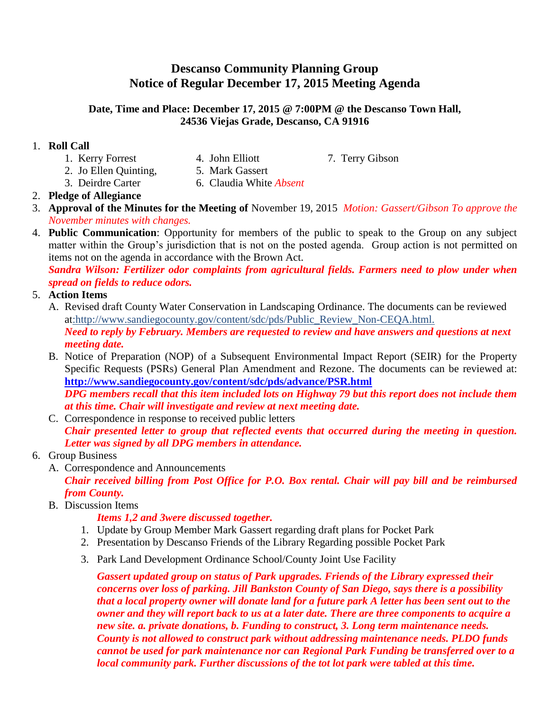# **Descanso Community Planning Group Notice of Regular December 17, 2015 Meeting Agenda**

#### **Date, Time and Place: December 17, 2015 @ 7:00PM @ the Descanso Town Hall, 24536 Viejas Grade, Descanso, CA 91916**

### 1. **Roll Call**

- 1. Kerry Forrest 4. John Elliott 7. Terry Gibson
	-
- 
- 2. Jo Ellen Quinting, 5. Mark Gassert
- 3. Deirdre Carter 6. Claudia White *Absent*

### 2. **Pledge of Allegiance**

- 3. **Approval of the Minutes for the Meeting of** November 19, 2015 *Motion: Gassert/Gibson To approve the November minutes with changes.*
- 4. **Public Communication**: Opportunity for members of the public to speak to the Group on any subject matter within the Group's jurisdiction that is not on the posted agenda. Group action is not permitted on items not on the agenda in accordance with the Brown Act.

*Sandra Wilson: Fertilizer odor complaints from agricultural fields. Farmers need to plow under when spread on fields to reduce odors.*

#### 5. **Action Items**

- A. Revised draft County Water Conservation in Landscaping Ordinance. The documents can be reviewed at:http://www.sandiegocounty.gov/content/sdc/pds/Public\_Review\_Non-CEQA.html. *Need to reply by February. Members are requested to review and have answers and questions at next meeting date.*
- B. Notice of Preparation (NOP) of a Subsequent Environmental Impact Report (SEIR) for the Property Specific Requests (PSRs) General Plan Amendment and Rezone. The documents can be reviewed at: **<http://www.sandiegocounty.gov/content/sdc/pds/advance/PSR.html>** *DPG members recall that this item included lots on Highway 79 but this report does not include them at this time. Chair will investigate and review at next meeting date.*
- C. Correspondence in response to received public letters *Chair presented letter to group that reflected events that occurred during the meeting in question. Letter was signed by all DPG members in attendance.*
- 6. Group Business
	- A. Correspondence and Announcements *Chair received billing from Post Office for P.O. Box rental. Chair will pay bill and be reimbursed from County.*
	- B. Discussion Items

### *Items 1,2 and 3were discussed together.*

- 1. Update by Group Member Mark Gassert regarding draft plans for Pocket Park
- 2. Presentation by Descanso Friends of the Library Regarding possible Pocket Park
- 3. Park Land Development Ordinance School/County Joint Use Facility

*Gassert updated group on status of Park upgrades. Friends of the Library expressed their concerns over loss of parking. Jill Bankston County of San Diego, says there is a possibility that a local property owner will donate land for a future park A letter has been sent out to the owner and they will report back to us at a later date. There are three components to acquire a new site. a. private donations, b. Funding to construct, 3. Long term maintenance needs. County is not allowed to construct park without addressing maintenance needs. PLDO funds cannot be used for park maintenance nor can Regional Park Funding be transferred over to a local community park. Further discussions of the tot lot park were tabled at this time.*